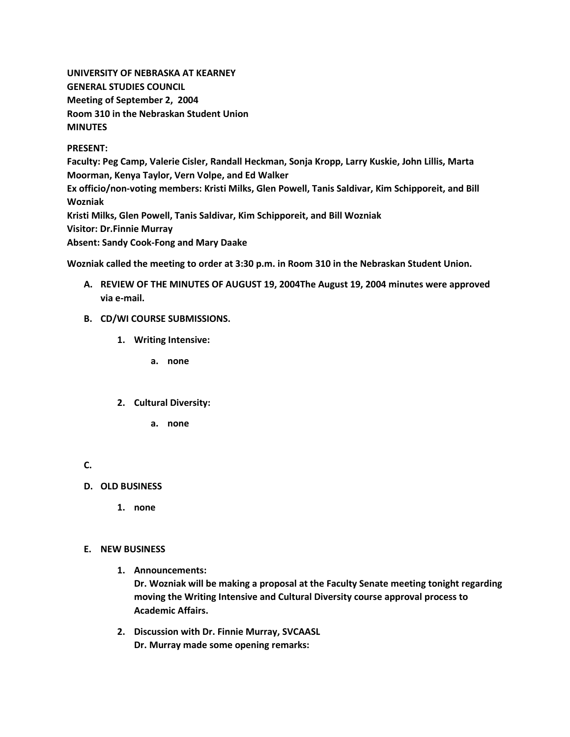**UNIVERSITY OF NEBRASKA AT KEARNEY GENERAL STUDIES COUNCIL Meeting of September 2, 2004 Room 310 in the Nebraskan Student Union MINUTES**

**PRESENT:**

**Faculty: Peg Camp, Valerie Cisler, Randall Heckman, Sonja Kropp, Larry Kuskie, John Lillis, Marta Moorman, Kenya Taylor, Vern Volpe, and Ed Walker Ex officio/non-voting members: Kristi Milks, Glen Powell, Tanis Saldivar, Kim Schipporeit, and Bill Wozniak Kristi Milks, Glen Powell, Tanis Saldivar, Kim Schipporeit, and Bill Wozniak Visitor: Dr.Finnie Murray Absent: Sandy Cook-Fong and Mary Daake**

**Wozniak called the meeting to order at 3:30 p.m. in Room 310 in the Nebraskan Student Union.**

- **A. REVIEW OF THE MINUTES OF AUGUST 19, 2004The August 19, 2004 minutes were approved via e-mail.**
- **B. CD/WI COURSE SUBMISSIONS.**
	- **1. Writing Intensive:** 
		- **a. none**
	- **2. Cultural Diversity:** 
		- **a. none**

**C.**

**D. OLD BUSINESS**

**1. none**

## **E. NEW BUSINESS**

**1. Announcements:**

**Dr. Wozniak will be making a proposal at the Faculty Senate meeting tonight regarding moving the Writing Intensive and Cultural Diversity course approval process to Academic Affairs.**

**2. Discussion with Dr. Finnie Murray, SVCAASL Dr. Murray made some opening remarks:**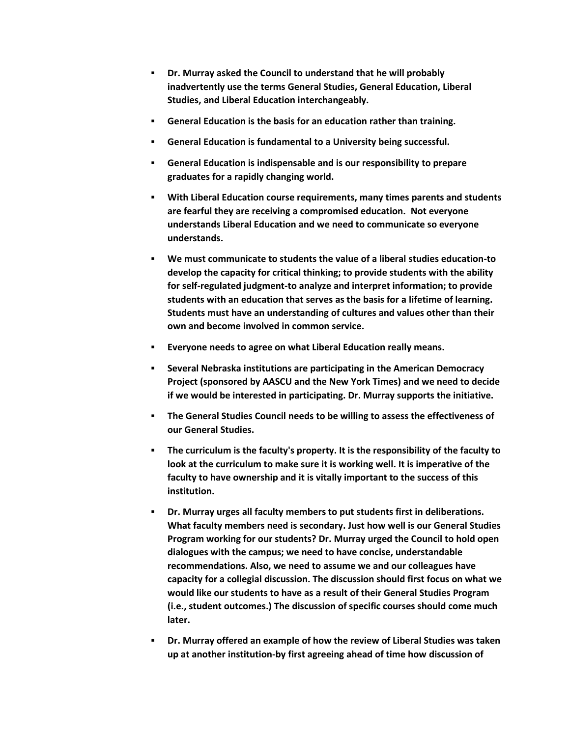- **Dr. Murray asked the Council to understand that he will probably inadvertently use the terms General Studies, General Education, Liberal Studies, and Liberal Education interchangeably.**
- **General Education is the basis for an education rather than training.**
- **General Education is fundamental to a University being successful.**
- **General Education is indispensable and is our responsibility to prepare graduates for a rapidly changing world.**
- **With Liberal Education course requirements, many times parents and students are fearful they are receiving a compromised education. Not everyone understands Liberal Education and we need to communicate so everyone understands.**
- **We must communicate to students the value of a liberal studies education-to develop the capacity for critical thinking; to provide students with the ability for self-regulated judgment-to analyze and interpret information; to provide students with an education that serves as the basis for a lifetime of learning. Students must have an understanding of cultures and values other than their own and become involved in common service.**
- **Everyone needs to agree on what Liberal Education really means.**
- **Several Nebraska institutions are participating in the American Democracy Project (sponsored by AASCU and the New York Times) and we need to decide if we would be interested in participating. Dr. Murray supports the initiative.**
- **The General Studies Council needs to be willing to assess the effectiveness of our General Studies.**
- **The curriculum is the faculty's property. It is the responsibility of the faculty to look at the curriculum to make sure it is working well. It is imperative of the faculty to have ownership and it is vitally important to the success of this institution.**
- **Dr. Murray urges all faculty members to put students first in deliberations. What faculty members need is secondary. Just how well is our General Studies Program working for our students? Dr. Murray urged the Council to hold open dialogues with the campus; we need to have concise, understandable recommendations. Also, we need to assume we and our colleagues have capacity for a collegial discussion. The discussion should first focus on what we would like our students to have as a result of their General Studies Program (i.e., student outcomes.) The discussion of specific courses should come much later.**
- **Dr. Murray offered an example of how the review of Liberal Studies was taken up at another institution-by first agreeing ahead of time how discussion of**